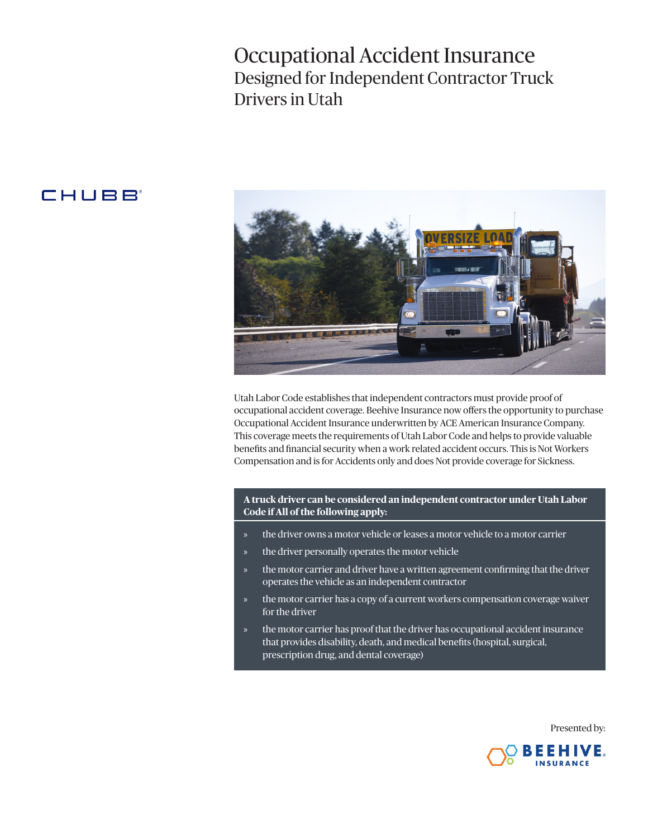# Occupational Accident Insurance Designed for Independent Contractor Truck Drivers in Utah

# **CHUBB**



Utah Labor Code establishes that independent contractors must provide proof of occupational accident coverage. Beehive Insurance now offers the opportunity to purchase Occupational Accident Insurance underwritten by ACE American Insurance Company. This coverage meets the requirements of Utah Labor Code and helps to provide valuable benefits and financial security when a work related accident occurs. This is Not Workers Compensation and is for Accidents only and does Not provide coverage for Sickness.

**A truck driver can be considered an independent contractor under Utah Labor Code if All of the following apply:**

- » the driver owns a motor vehicle or leases a motor vehicle to a motor carrier
- the driver personally operates the motor vehicle
- the motor carrier and driver have a written agreement confirming that the driver operates the vehicle as an independent contractor
- the motor carrier has a copy of a current workers compensation coverage waiver for the driver
- the motor carrier has proof that the driver has occupational accident insurance that provides disability, death, and medical benefits (hospital, surgical, prescription drug, and dental coverage)

Presented by:

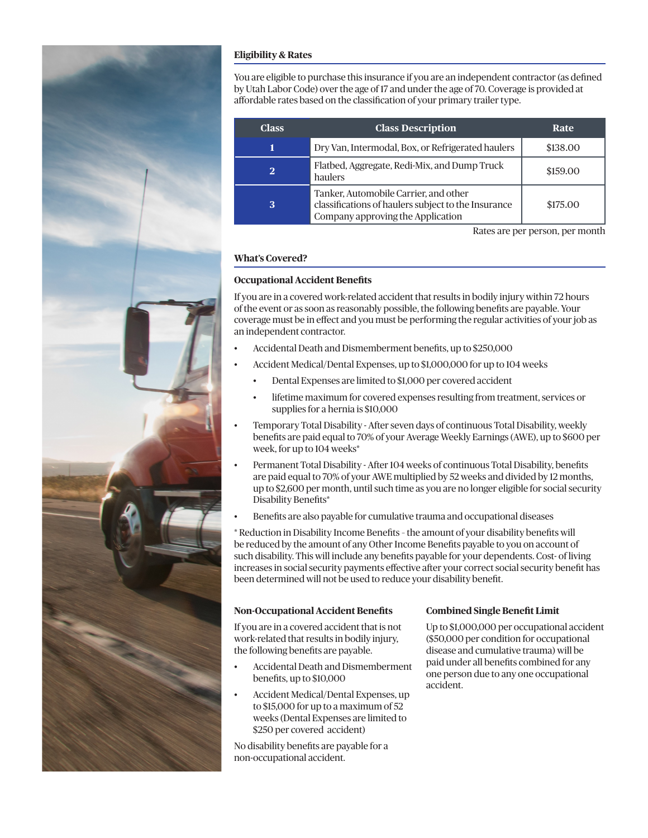

# **Eligibility & Rates**

You are eligible to purchase this insurance if you are an independent contractor (as defined by Utah Labor Code) over the age of 17 and under the age of 70. Coverage is provided at affordable rates based on the classification of your primary trailer type.

| <b>Class</b> | <b>Class Description</b>                                                                                                          | Rate     |
|--------------|-----------------------------------------------------------------------------------------------------------------------------------|----------|
|              | Dry Van, Intermodal, Box, or Refrigerated haulers                                                                                 | \$138.00 |
| $\bf{2}$     | Flatbed, Aggregate, Redi-Mix, and Dump Truck<br>haulers                                                                           | \$159.00 |
| 3            | Tanker, Automobile Carrier, and other<br>classifications of haulers subject to the Insurance<br>Company approving the Application | \$175.00 |

Rates are per person, per month

# **What's Covered?**

## **Occupational Accident Benefits**

If you are in a covered work-related accident that results in bodily injury within 72 hours of the event or as soon as reasonably possible, the following benefits are payable. Your coverage must be in effect and you must be performing the regular activities of your job as an independent contractor.

- Accidental Death and Dismemberment benefits, up to \$250,000
	- Accident Medical/Dental Expenses, up to \$1,000,000 for up to 104 weeks
		- Dental Expenses are limited to \$1,000 per covered accident
		- lifetime maximum for covered expenses resulting from treatment, services or supplies for a hernia is \$10,000
- Temporary Total Disability After seven days of continuous Total Disability, weekly benefits are paid equal to 70% of your Average Weekly Earnings (AWE), up to \$600 per week, for up to 104 weeks\*
- Permanent Total Disability After 104 weeks of continuous Total Disability, benefits are paid equal to 70% of your AWE multiplied by 52 weeks and divided by 12 months, up to \$2,600 per month, until such time as you are no longer eligible for social security Disability Benefits\*
- Benefits are also payable for cumulative trauma and occupational diseases

\* Reduction in Disability Income Benefits – the amount of your disability benefits will be reduced by the amount of any Other Income Benefits payable to you on account of such disability. This will include any benefits payable for your dependents. Cost- of living increases in social security payments effective after your correct social security benefit has been determined will not be used to reduce your disability benefit.

## **Non-Occupational Accident Benefits**

If you are in a covered accident that is not work-related that results in bodily injury, the following benefits are payable.

- Accidental Death and Dismemberment benefits, up to \$10,000
- Accident Medical/Dental Expenses, up to \$15,000 for up to a maximum of 52 weeks (Dental Expenses are limited to \$250 per covered accident)

No disability benefits are payable for a non-occupational accident.

#### **Combined Single Benefit Limit**

Up to \$1,000,000 per occupational accident (\$50,000 per condition for occupational disease and cumulative trauma) will be paid under all benefits combined for any one person due to any one occupational accident.